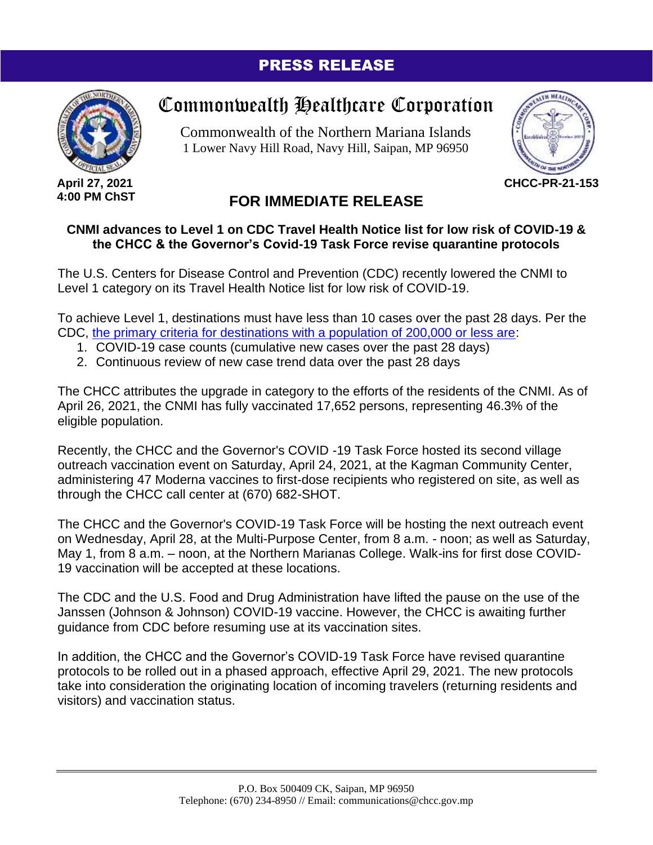## PRESS RELEASE



**April 27, 2021 4:00 PM ChST**

## Commonwealth Healthcare Corporation

Commonwealth of the Northern Mariana Islands 1 Lower Navy Hill Road, Navy Hill, Saipan, MP 96950



**CHCC-PR-21-153**

## **FOR IMMEDIATE RELEASE**

## **CNMI advances to Level 1 on CDC Travel Health Notice list for low risk of COVID-19 & the CHCC & the Governor's Covid-19 Task Force revise quarantine protocols**

The U.S. Centers for Disease Control and Prevention (CDC) recently lowered the CNMI to Level 1 category on its Travel Health Notice list for low risk of COVID-19.

To achieve Level 1, destinations must have less than 10 cases over the past 28 days. Per the CDC, [the primary criteria for destinations with a population of 200,000 or less are:](https://www.cdc.gov/coronavirus/2019-ncov/travelers/how-level-is-determined.html)

- 1. COVID-19 case counts (cumulative new cases over the past 28 days)
- 2. Continuous review of new case trend data over the past 28 days

The CHCC attributes the upgrade in category to the efforts of the residents of the CNMI. As of April 26, 2021, the CNMI has fully vaccinated 17,652 persons, representing 46.3% of the eligible population.

Recently, the CHCC and the Governor's COVID -19 Task Force hosted its second village outreach vaccination event on Saturday, April 24, 2021, at the Kagman Community Center, administering 47 Moderna vaccines to first-dose recipients who registered on site, as well as through the CHCC call center at (670) 682-SHOT.

The CHCC and the Governor's COVID-19 Task Force will be hosting the next outreach event on Wednesday, April 28, at the Multi-Purpose Center, from 8 a.m. - noon; as well as Saturday, May 1, from 8 a.m. – noon, at the Northern Marianas College. Walk-ins for first dose COVID-19 vaccination will be accepted at these locations.

The CDC and the U.S. Food and Drug Administration have lifted the pause on the use of the Janssen (Johnson & Johnson) COVID-19 vaccine. However, the CHCC is awaiting further guidance from CDC before resuming use at its vaccination sites.

In addition, the CHCC and the Governor's COVID-19 Task Force have revised quarantine protocols to be rolled out in a phased approach, effective April 29, 2021. The new protocols take into consideration the originating location of incoming travelers (returning residents and visitors) and vaccination status.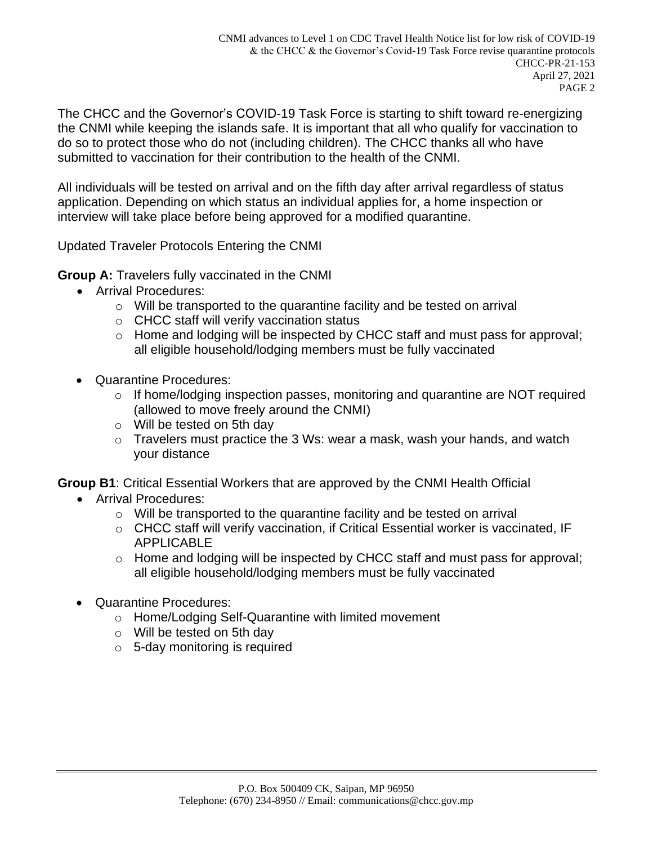The CHCC and the Governor's COVID-19 Task Force is starting to shift toward re-energizing the CNMI while keeping the islands safe. It is important that all who qualify for vaccination to do so to protect those who do not (including children). The CHCC thanks all who have submitted to vaccination for their contribution to the health of the CNMI.

All individuals will be tested on arrival and on the fifth day after arrival regardless of status application. Depending on which status an individual applies for, a home inspection or interview will take place before being approved for a modified quarantine.

Updated Traveler Protocols Entering the CNMI

**Group A:** Travelers fully vaccinated in the CNMI

- Arrival Procedures:
	- $\circ$  Will be transported to the quarantine facility and be tested on arrival
	- o CHCC staff will verify vaccination status
	- o Home and lodging will be inspected by CHCC staff and must pass for approval; all eligible household/lodging members must be fully vaccinated
- Quarantine Procedures:
	- $\circ$  If home/lodging inspection passes, monitoring and quarantine are NOT required (allowed to move freely around the CNMI)
	- o Will be tested on 5th day
	- o Travelers must practice the 3 Ws: wear a mask, wash your hands, and watch your distance

**Group B1**: Critical Essential Workers that are approved by the CNMI Health Official

- Arrival Procedures:
	- $\circ$  Will be transported to the quarantine facility and be tested on arrival
	- o CHCC staff will verify vaccination, if Critical Essential worker is vaccinated, IF APPLICABLE
	- $\circ$  Home and lodging will be inspected by CHCC staff and must pass for approval; all eligible household/lodging members must be fully vaccinated
- Quarantine Procedures:
	- o Home/Lodging Self-Quarantine with limited movement
	- o Will be tested on 5th day
	- $\circ$  5-day monitoring is required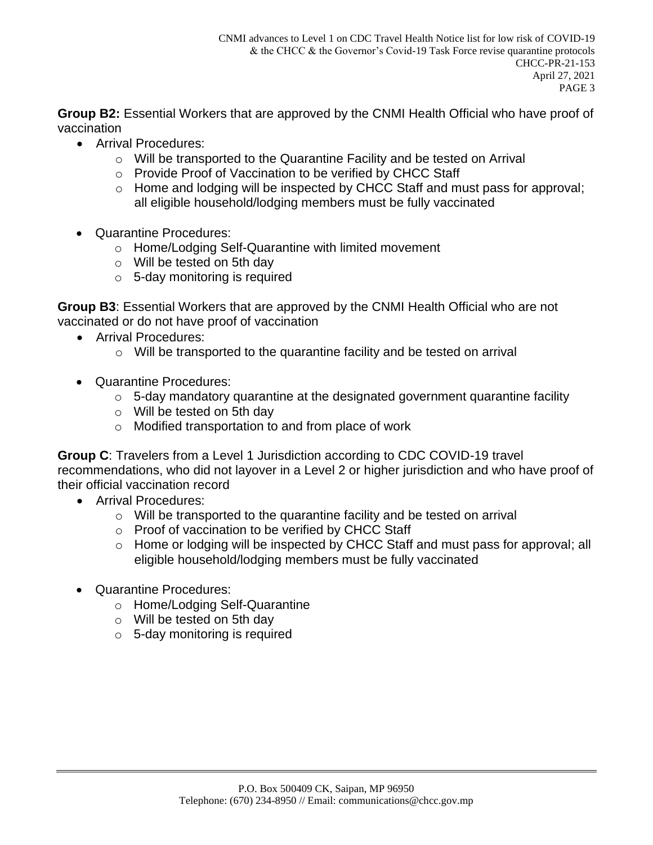**Group B2:** Essential Workers that are approved by the CNMI Health Official who have proof of vaccination

- Arrival Procedures:
	- o Will be transported to the Quarantine Facility and be tested on Arrival
	- o Provide Proof of Vaccination to be verified by CHCC Staff
	- o Home and lodging will be inspected by CHCC Staff and must pass for approval; all eligible household/lodging members must be fully vaccinated
- Quarantine Procedures:
	- o Home/Lodging Self-Quarantine with limited movement
	- o Will be tested on 5th day
	- $\circ$  5-day monitoring is required

**Group B3**: Essential Workers that are approved by the CNMI Health Official who are not vaccinated or do not have proof of vaccination

- Arrival Procedures:
	- o Will be transported to the quarantine facility and be tested on arrival
- Quarantine Procedures:
	- $\circ$  5-day mandatory quarantine at the designated government quarantine facility
	- o Will be tested on 5th day
	- o Modified transportation to and from place of work

**Group C**: Travelers from a Level 1 Jurisdiction according to CDC COVID-19 travel recommendations, who did not layover in a Level 2 or higher jurisdiction and who have proof of their official vaccination record

- Arrival Procedures:
	- o Will be transported to the quarantine facility and be tested on arrival
	- o Proof of vaccination to be verified by CHCC Staff
	- o Home or lodging will be inspected by CHCC Staff and must pass for approval; all eligible household/lodging members must be fully vaccinated
- Quarantine Procedures:
	- o Home/Lodging Self-Quarantine
	- o Will be tested on 5th day
	- $\circ$  5-day monitoring is required